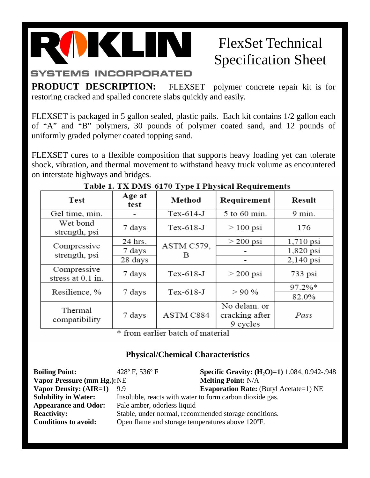

## FlexSet Technical Specification Sheet

**PRODUCT DESCRIPTION:** FLEXSET polymer concrete repair kit is for restoring cracked and spalled concrete slabs quickly and easily.

FLEXSET is packaged in 5 gallon sealed, plastic pails. Each kit contains 1/2 gallon each of "A" and "B" polymers, 30 pounds of polymer coated sand, and 12 pounds of uniformly graded polymer coated topping sand.

FLEXSET cures to a flexible composition that supports heavy loading yet can tolerate shock, vibration, and thermal movement to withstand heavy truck volume as encountered on interstate highways and bridges.

| <b>Test</b>                      | Age at<br>test | Method          | Requirement    | Result            |
|----------------------------------|----------------|-----------------|----------------|-------------------|
| Gel time, min.                   |                | $Tex-614-J$     | 5 to 60 min.   | $9 \text{ min}$ . |
| Wet bond<br>strength, psi        | 7 days         | $Tex-618-J$     | $>100$ psi     | 176               |
| Compressive<br>strength, psi     | 24 hrs.        | ASTM C579,<br>в | $>$ 200 psi    | $1,710$ psi       |
|                                  | 7 days         |                 |                | 1,820 psi         |
|                                  | 28 days        |                 |                | $2,140$ psi       |
| Compressive<br>stress at 0.1 in. | 7 days         | $Tex-618-J$     | $>$ 200 psi    | $733$ psi         |
| Resilience, %                    | 7 days         | $Tex-618-J$     | $> 90\%$       | $97.2\%*$         |
|                                  |                |                 |                | 82.0%             |
| Thermal<br>compatibility         | 7 days         | ASTM C884       | No delam. or   |                   |
|                                  |                |                 | cracking after | Pass              |
|                                  |                |                 | 9 cycles       |                   |

## Table 1. TX DMS-6170 Type I Physical Requirements

\* from earlier batch of material

## **Physical/Chemical Characteristics**

| <b>Boiling Point:</b>              | 428°F, 536°F                                             | <b>Specific Gravity: (H<sub>2</sub>O)=1)</b> 1.084, 0.942-.948 |  |
|------------------------------------|----------------------------------------------------------|----------------------------------------------------------------|--|
| <b>Vapor Pressure (mm Hg.): NE</b> |                                                          | <b>Melting Point: N/A</b>                                      |  |
| <b>Vapor Density: (AIR=1)</b>      | 99                                                       | <b>Evaporation Rate:</b> (Butyl Acetate=1) NE                  |  |
| <b>Solubility in Water:</b>        | Insoluble, reacts with water to form carbon dioxide gas. |                                                                |  |
| <b>Appearance and Odor:</b>        | Pale amber, odorless liquid                              |                                                                |  |
| <b>Reactivity:</b>                 | Stable, under normal, recommended storage conditions.    |                                                                |  |
| <b>Conditions to avoid:</b>        | Open flame and storage temperatures above 120°F.         |                                                                |  |